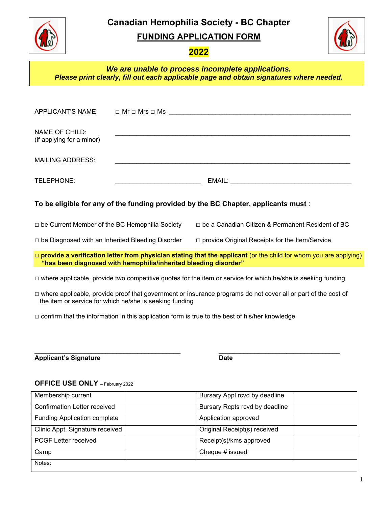**Canadian Hemophilia Society - BC Chapter** 



**FUNDING APPLICATION FORM**



# **2022**

## *We are unable to process incomplete applications. Please print clearly, fill out each applicable page and obtain signatures where needed.*

| NAME OF CHILD:<br>(if applying for a minor)             |                                                                  | <u> 1989 - 1989 - 1989 - 1989 - 1989 - 1989 - 1989 - 1989 - 1989 - 1989 - 1989 - 1989 - 1989 - 1989 - 1989 - 19</u>     |
|---------------------------------------------------------|------------------------------------------------------------------|-------------------------------------------------------------------------------------------------------------------------|
| <b>MAILING ADDRESS:</b>                                 |                                                                  | <u> 1989 - Johann Harry Harry Harry Harry Harry Harry Harry Harry Harry Harry Harry Harry Harry Harry Harry Harry</u>   |
| TELEPHONE:                                              | <u> 1990 - Johann Barbara, martin a</u>                          |                                                                                                                         |
|                                                         |                                                                  | To be eligible for any of the funding provided by the BC Chapter, applicants must:                                      |
| $\Box$ be Current Member of the BC Hemophilia Society   |                                                                  | $\Box$ be a Canadian Citizen & Permanent Resident of BC                                                                 |
| $\Box$ be Diagnosed with an Inherited Bleeding Disorder |                                                                  | $\Box$ provide Original Receipts for the Item/Service                                                                   |
|                                                         | "has been diagnosed with hemophilia/inherited bleeding disorder" | $\Box$ provide a verification letter from physician stating that the applicant (or the child for whom you are applying) |
|                                                         |                                                                  | $\Box$ where applicable, provide two competitive quotes for the item or service for which he/she is seeking funding     |
|                                                         | the item or service for which he/she is seeking funding          | $\Box$ where applicable, provide proof that government or insurance programs do not cover all or part of the cost of    |

□ confirm that the information in this application form is true to the best of his/her knowledge

Applicant's Signature **Date Date Date** 

### **OFFICE USE ONLY** – February 2022

| Membership current                  | Bursary Appl rcvd by deadline  |  |
|-------------------------------------|--------------------------------|--|
| <b>Confirmation Letter received</b> | Bursary Rcpts rcvd by deadline |  |
| <b>Funding Application complete</b> | Application approved           |  |
| Clinic Appt. Signature received     | Original Receipt(s) received   |  |
| <b>PCGF Letter received</b>         | Receipt(s)/kms approved        |  |
| Camp                                | Cheque # issued                |  |
| Notes:                              |                                |  |

 $\mathcal{L}_\text{max}$  , and the set of the set of the set of the set of the set of the set of the set of the set of the set of the set of the set of the set of the set of the set of the set of the set of the set of the set of the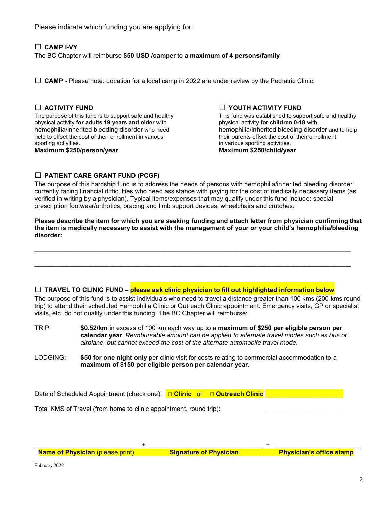Please indicate which funding you are applying for:

## **□ CAMP I-VY**  The BC Chapter will reimburse **\$50 USD /camper** to a **maximum of 4 persons/family**

□ **CAMP** - Please note: Location for a local camp in 2022 are under review by the Pediatric Clinic.

The purpose of this fund is to support safe and healthy This fund was established to support safe physical activity for children 0-18 with physical activity for adults 19 years and older with hemophilia/inherited bleeding disorder who need hemophilia/inherited bleeding disorder and to help<br>help to offset the cost of their enrollment in various their parents offset the cost of their enrollment help to offset the cost of their enrollment in various sporting activities. **in various sporting activities** sporting activities. **Maximum \$250/person/year Maximum \$250/child/year Maximum \$250/child/year** 

□ **ACTIVITY FUND**<br>The purpose of this fund is to support safe and healthy **□**<br>This fund was established to support safe and healthy

#### **□ PATIENT CARE GRANT FUND (PCGF)**

The purpose of this hardship fund is to address the needs of persons with hemophilia/inherited bleeding disorder currently facing financial difficulties who need assistance with paying for the cost of medically necessary items (as verified in writing by a physician). Typical items/expenses that may qualify under this fund include: special prescription footwear/orthotics, bracing and limb support devices, wheelchairs and crutches.

**Please describe the item for which you are seeking funding and attach letter from physician confirming that the item is medically necessary to assist with the management of your or your child's hemophilia/bleeding disorder:** 

 $\mathcal{L}_\mathcal{L} = \{ \mathcal{L}_\mathcal{L} = \{ \mathcal{L}_\mathcal{L} = \{ \mathcal{L}_\mathcal{L} = \{ \mathcal{L}_\mathcal{L} = \{ \mathcal{L}_\mathcal{L} = \{ \mathcal{L}_\mathcal{L} = \{ \mathcal{L}_\mathcal{L} = \{ \mathcal{L}_\mathcal{L} = \{ \mathcal{L}_\mathcal{L} = \{ \mathcal{L}_\mathcal{L} = \{ \mathcal{L}_\mathcal{L} = \{ \mathcal{L}_\mathcal{L} = \{ \mathcal{L}_\mathcal{L} = \{ \mathcal{L}_\mathcal{$ 

 $\mathcal{L}_\mathcal{L} = \{ \mathcal{L}_\mathcal{L} = \{ \mathcal{L}_\mathcal{L} = \{ \mathcal{L}_\mathcal{L} = \{ \mathcal{L}_\mathcal{L} = \{ \mathcal{L}_\mathcal{L} = \{ \mathcal{L}_\mathcal{L} = \{ \mathcal{L}_\mathcal{L} = \{ \mathcal{L}_\mathcal{L} = \{ \mathcal{L}_\mathcal{L} = \{ \mathcal{L}_\mathcal{L} = \{ \mathcal{L}_\mathcal{L} = \{ \mathcal{L}_\mathcal{L} = \{ \mathcal{L}_\mathcal{L} = \{ \mathcal{L}_\mathcal{$ 

#### **□ TRAVEL TO CLINIC FUND – please ask clinic physician to fill out highlighted information below**

The purpose of this fund is to assist individuals who need to travel a distance greater than 100 kms (200 kms round trip) to attend their scheduled Hemophilia Clinic or Outreach Clinic appointment. Emergency visits, GP or specialist visits, etc. do not qualify under this funding. The BC Chapter will reimburse:

TRIP: **\$0.52/km** in excess of 100 km each way up to a **maximum of \$250 per eligible person per calendar year**. *Reimbursable amount can be applied to alternate travel modes such as bus or airplane, but cannot exceed the cost of the alternate automobile travel mode.* 

LODGING: **\$50 for one night only** per clinic visit for costs relating to commercial accommodation to a **maximum of \$150 per eligible person per calendar year**.

Date of Scheduled Appointment (check one): **□ Clinic** or □ Outreach Clinic

Total KMS of Travel (from home to clinic appointment, round trip):

**Name of Physician** (please print) **Signature of Physician Physician's office stamp** 

 $_1$  ,  $_2$  ,  $_3$  ,  $_4$  ,  $_5$  ,  $_6$  ,  $_7$  ,  $_8$  ,  $_9$  ,  $_9$  ,  $_9$  ,  $_9$  ,  $_9$  ,  $_9$  ,  $_9$  ,  $_9$  ,  $_9$  ,  $_9$  ,  $_9$  ,  $_9$  ,  $_9$  ,  $_9$  ,  $_9$  ,  $_9$  ,  $_9$  ,  $_9$  ,  $_9$  ,  $_9$  ,  $_9$  ,  $_9$  ,  $_9$  ,  $_9$ 

February 2022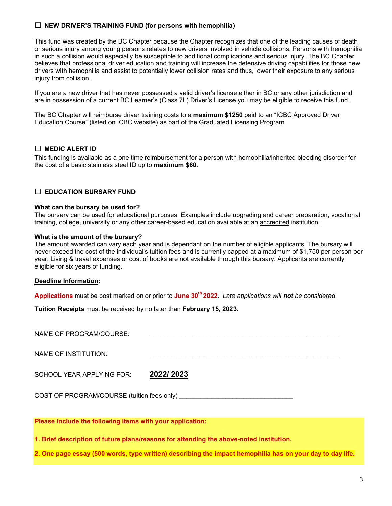#### **□ NEW DRIVER'S TRAINING FUND (for persons with hemophilia)**

This fund was created by the BC Chapter because the Chapter recognizes that one of the leading causes of death or serious injury among young persons relates to new drivers involved in vehicle collisions. Persons with hemophilia in such a collision would especially be susceptible to additional complications and serious injury. The BC Chapter believes that professional driver education and training will increase the defensive driving capabilities for those new drivers with hemophilia and assist to potentially lower collision rates and thus, lower their exposure to any serious injury from collision.

If you are a new driver that has never possessed a valid driver's license either in BC or any other jurisdiction and are in possession of a current BC Learner's (Class 7L) Driver's License you may be eligible to receive this fund.

The BC Chapter will reimburse driver training costs to a **maximum \$1250** paid to an "ICBC Approved Driver Education Course" (listed on ICBC website) as part of the Graduated Licensing Program

#### **□ MEDIC ALERT ID**

This funding is available as a one time reimbursement for a person with hemophilia/inherited bleeding disorder for the cost of a basic stainless steel ID up to **maximum \$60**.

#### **□ EDUCATION BURSARY FUND**

#### **What can the bursary be used for?**

The bursary can be used for educational purposes. Examples include upgrading and career preparation, vocational training, college, university or any other career-based education available at an accredited institution.

#### **What is the amount of the bursary?**

The amount awarded can vary each year and is dependant on the number of eligible applicants. The bursary will never exceed the cost of the individual's tuition fees and is currently capped at a maximum of \$1,750 per person per year. Living & travel expenses or cost of books are not available through this bursary. Applicants are currently eligible for six years of funding.

#### **Deadline Information:**

**Applications** must be post marked on or prior to **June 30th 2022**. *Late applications will not be considered.*

**Tuition Receipts** must be received by no later than **February 15, 2023**.

NAME OF PROGRAM/COURSE: NAME OF INSTITUTION:

SCHOOL YEAR APPLYING FOR: **2022/ 2023**

COST OF PROGRAM/COURSE (tuition fees only)

**Please include the following items with your application:** 

**1. Brief description of future plans/reasons for attending the above-noted institution.** 

**2. One page essay (500 words, type written) describing the impact hemophilia has on your day to day life.**